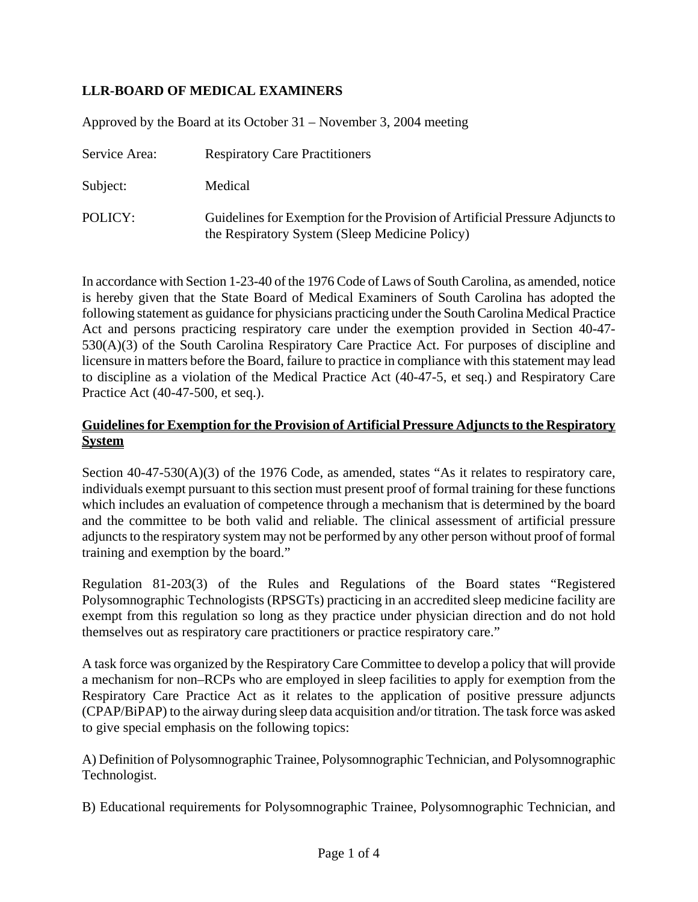# **LLR-BOARD OF MEDICAL EXAMINERS**

Approved by the Board at its October 31 – November 3, 2004 meeting

| Service Area: | <b>Respiratory Care Practitioners</b>                                                                                           |
|---------------|---------------------------------------------------------------------------------------------------------------------------------|
| Subject:      | Medical                                                                                                                         |
| POLICY:       | Guidelines for Exemption for the Provision of Artificial Pressure Adjuncts to<br>the Respiratory System (Sleep Medicine Policy) |

In accordance with Section 1-23-40 of the 1976 Code of Laws of South Carolina, as amended, notice is hereby given that the State Board of Medical Examiners of South Carolina has adopted the following statement as guidance for physicians practicing under the South Carolina Medical Practice Act and persons practicing respiratory care under the exemption provided in Section 40-47- 530(A)(3) of the South Carolina Respiratory Care Practice Act. For purposes of discipline and licensure in matters before the Board, failure to practice in compliance with this statement may lead to discipline as a violation of the Medical Practice Act (40-47-5, et seq.) and Respiratory Care Practice Act (40-47-500, et seq.).

### **Guidelines for Exemption for the Provision of Artificial Pressure Adjuncts to the Respiratory System**

Section 40-47-530(A)(3) of the 1976 Code, as amended, states "As it relates to respiratory care, individuals exempt pursuant to this section must present proof of formal training for these functions which includes an evaluation of competence through a mechanism that is determined by the board and the committee to be both valid and reliable. The clinical assessment of artificial pressure adjuncts to the respiratory system may not be performed by any other person without proof of formal training and exemption by the board."

Regulation 81-203(3) of the Rules and Regulations of the Board states "Registered Polysomnographic Technologists (RPSGTs) practicing in an accredited sleep medicine facility are exempt from this regulation so long as they practice under physician direction and do not hold themselves out as respiratory care practitioners or practice respiratory care."

A task force was organized by the Respiratory Care Committee to develop a policy that will provide a mechanism for non–RCPs who are employed in sleep facilities to apply for exemption from the Respiratory Care Practice Act as it relates to the application of positive pressure adjuncts (CPAP/BiPAP) to the airway during sleep data acquisition and/or titration. The task force was asked to give special emphasis on the following topics:

A) Definition of Polysomnographic Trainee, Polysomnographic Technician, and Polysomnographic Technologist.

B) Educational requirements for Polysomnographic Trainee, Polysomnographic Technician, and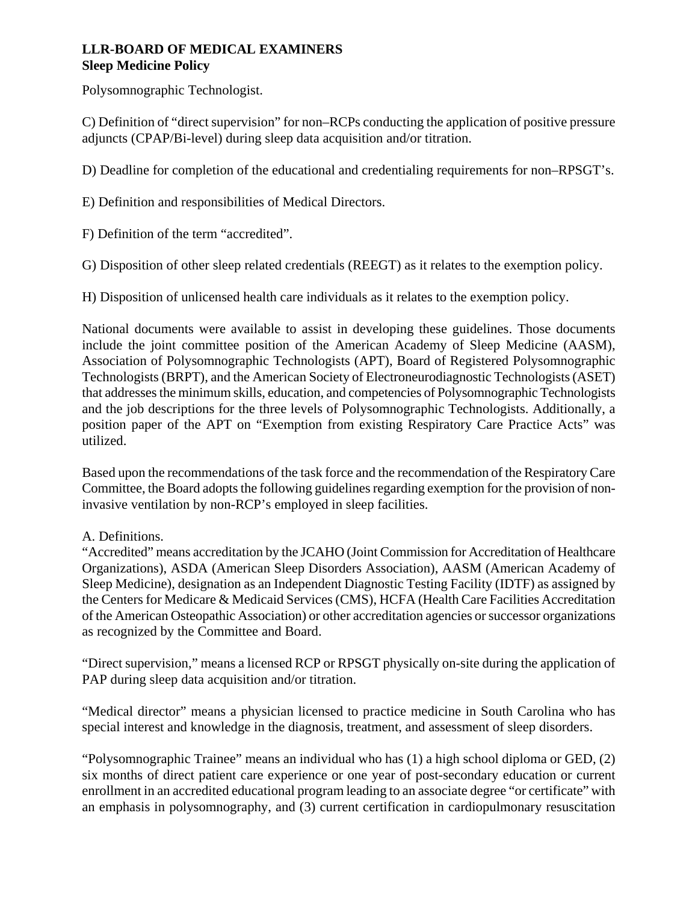# **LLR-BOARD OF MEDICAL EXAMINERS Sleep Medicine Policy**

Polysomnographic Technologist.

C) Definition of "direct supervision" for non–RCPs conducting the application of positive pressure adjuncts (CPAP/Bi-level) during sleep data acquisition and/or titration.

D) Deadline for completion of the educational and credentialing requirements for non–RPSGT's.

E) Definition and responsibilities of Medical Directors.

F) Definition of the term "accredited".

G) Disposition of other sleep related credentials (REEGT) as it relates to the exemption policy.

H) Disposition of unlicensed health care individuals as it relates to the exemption policy.

National documents were available to assist in developing these guidelines. Those documents include the joint committee position of the American Academy of Sleep Medicine (AASM), Association of Polysomnographic Technologists (APT), Board of Registered Polysomnographic Technologists (BRPT), and the American Society of Electroneurodiagnostic Technologists (ASET) that addresses the minimum skills, education, and competencies of Polysomnographic Technologists and the job descriptions for the three levels of Polysomnographic Technologists. Additionally, a position paper of the APT on "Exemption from existing Respiratory Care Practice Acts" was utilized.

Based upon the recommendations of the task force and the recommendation of the Respiratory Care Committee, the Board adopts the following guidelines regarding exemption for the provision of noninvasive ventilation by non-RCP's employed in sleep facilities.

### A. Definitions.

"Accredited" means accreditation by the JCAHO (Joint Commission for Accreditation of Healthcare Organizations), ASDA (American Sleep Disorders Association), AASM (American Academy of Sleep Medicine), designation as an Independent Diagnostic Testing Facility (IDTF) as assigned by the Centers for Medicare & Medicaid Services (CMS), HCFA (Health Care Facilities Accreditation of the American Osteopathic Association) or other accreditation agencies or successor organizations as recognized by the Committee and Board.

"Direct supervision," means a licensed RCP or RPSGT physically on-site during the application of PAP during sleep data acquisition and/or titration.

"Medical director" means a physician licensed to practice medicine in South Carolina who has special interest and knowledge in the diagnosis, treatment, and assessment of sleep disorders.

"Polysomnographic Trainee" means an individual who has (1) a high school diploma or GED, (2) six months of direct patient care experience or one year of post-secondary education or current enrollment in an accredited educational program leading to an associate degree "or certificate" with an emphasis in polysomnography, and (3) current certification in cardiopulmonary resuscitation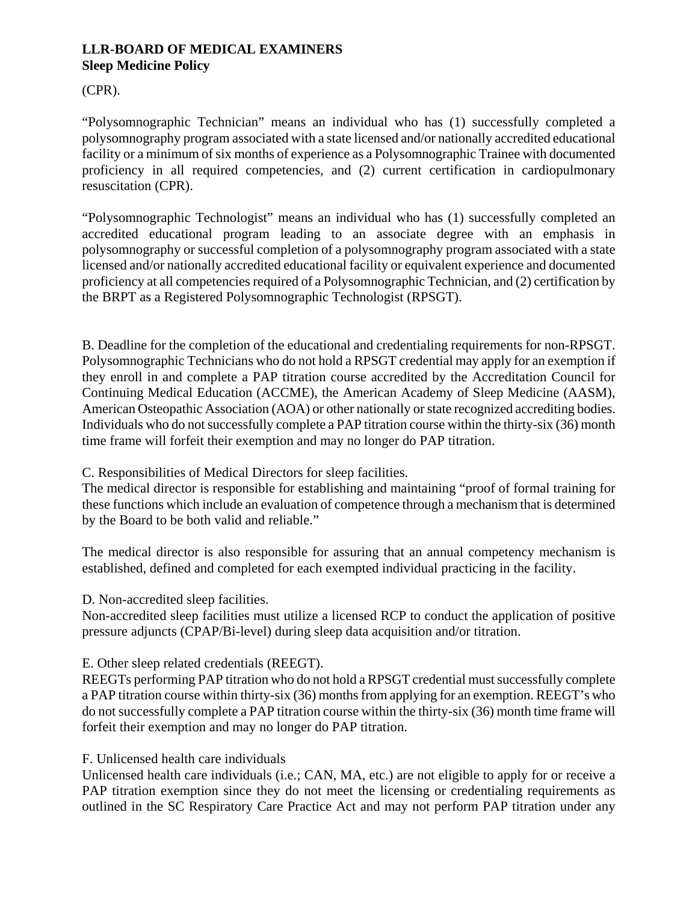# **LLR-BOARD OF MEDICAL EXAMINERS Sleep Medicine Policy**

## (CPR).

"Polysomnographic Technician" means an individual who has (1) successfully completed a polysomnography program associated with a state licensed and/or nationally accredited educational facility or a minimum of six months of experience as a Polysomnographic Trainee with documented proficiency in all required competencies, and (2) current certification in cardiopulmonary resuscitation (CPR).

"Polysomnographic Technologist" means an individual who has (1) successfully completed an accredited educational program leading to an associate degree with an emphasis in polysomnography or successful completion of a polysomnography program associated with a state licensed and/or nationally accredited educational facility or equivalent experience and documented proficiency at all competencies required of a Polysomnographic Technician, and (2) certification by the BRPT as a Registered Polysomnographic Technologist (RPSGT).

B. Deadline for the completion of the educational and credentialing requirements for non-RPSGT. Polysomnographic Technicians who do not hold a RPSGT credential may apply for an exemption if they enroll in and complete a PAP titration course accredited by the Accreditation Council for Continuing Medical Education (ACCME), the American Academy of Sleep Medicine (AASM), American Osteopathic Association (AOA) or other nationally or state recognized accrediting bodies. Individuals who do not successfully complete a PAP titration course within the thirty-six (36) month time frame will forfeit their exemption and may no longer do PAP titration.

### C. Responsibilities of Medical Directors for sleep facilities.

The medical director is responsible for establishing and maintaining "proof of formal training for these functions which include an evaluation of competence through a mechanism that is determined by the Board to be both valid and reliable."

The medical director is also responsible for assuring that an annual competency mechanism is established, defined and completed for each exempted individual practicing in the facility.

### D. Non-accredited sleep facilities.

Non-accredited sleep facilities must utilize a licensed RCP to conduct the application of positive pressure adjuncts (CPAP/Bi-level) during sleep data acquisition and/or titration.

### E. Other sleep related credentials (REEGT).

REEGTs performing PAP titration who do not hold a RPSGT credential must successfully complete a PAP titration course within thirty-six (36) months from applying for an exemption. REEGT's who do not successfully complete a PAP titration course within the thirty-six (36) month time frame will forfeit their exemption and may no longer do PAP titration.

### F. Unlicensed health care individuals

Unlicensed health care individuals (i.e.; CAN, MA, etc.) are not eligible to apply for or receive a PAP titration exemption since they do not meet the licensing or credentialing requirements as outlined in the SC Respiratory Care Practice Act and may not perform PAP titration under any